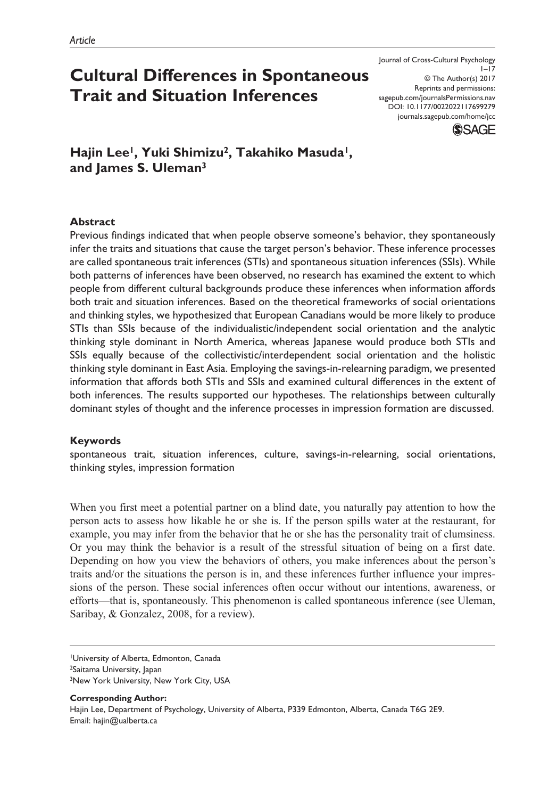# **Cultural Differences in Spontaneous Trait and Situation Inferences**

Journal of Cross-Cultural Psychology  $1 - 17$ © The Author(s) 2017 Reprints and permissions: [sagepub.com/journalsPermissions.nav](https://us.sagepub.com/en-us/journals-permissions) DOI: 10.1177/0022022117699279 [journals.sagepub.com/home/jcc](https://journals.sagepub.com/home/jcc) **SSAGE** 

**Hajin Lee1, Yuki Shimizu2, Takahiko Masuda1, and James S. Uleman3**

### **Abstract**

Previous findings indicated that when people observe someone's behavior, they spontaneously infer the traits and situations that cause the target person's behavior. These inference processes are called spontaneous trait inferences (STIs) and spontaneous situation inferences (SSIs). While both patterns of inferences have been observed, no research has examined the extent to which people from different cultural backgrounds produce these inferences when information affords both trait and situation inferences. Based on the theoretical frameworks of social orientations and thinking styles, we hypothesized that European Canadians would be more likely to produce STIs than SSIs because of the individualistic/independent social orientation and the analytic thinking style dominant in North America, whereas Japanese would produce both STIs and SSIs equally because of the collectivistic/interdependent social orientation and the holistic thinking style dominant in East Asia. Employing the savings-in-relearning paradigm, we presented information that affords both STIs and SSIs and examined cultural differences in the extent of both inferences. The results supported our hypotheses. The relationships between culturally dominant styles of thought and the inference processes in impression formation are discussed.

### **Keywords**

spontaneous trait, situation inferences, culture, savings-in-relearning, social orientations, thinking styles, impression formation

When you first meet a potential partner on a blind date, you naturally pay attention to how the person acts to assess how likable he or she is. If the person spills water at the restaurant, for example, you may infer from the behavior that he or she has the personality trait of clumsiness. Or you may think the behavior is a result of the stressful situation of being on a first date. Depending on how you view the behaviors of others, you make inferences about the person's traits and/or the situations the person is in, and these inferences further influence your impressions of the person. These social inferences often occur without our intentions, awareness, or efforts—that is, spontaneously. This phenomenon is called spontaneous inference (see Uleman, Saribay, & Gonzalez, 2008, for a review).

**Corresponding Author:** Hajin Lee, Department of Psychology, University of Alberta, P339 Edmonton, Alberta, Canada T6G 2E9. Email: [hajin@ualberta.ca](mailto:hajin@ualberta.ca)

<sup>1</sup>University of Alberta, Edmonton, Canada 2Saitama University, Japan 3New York University, New York City, USA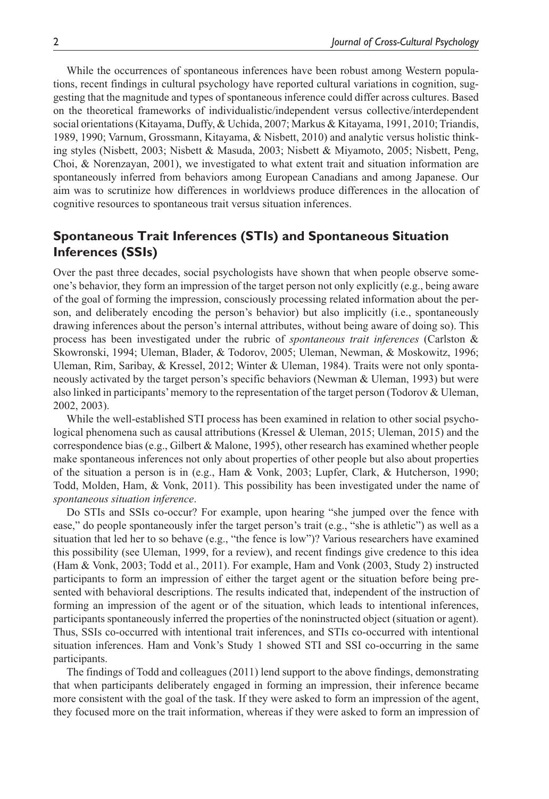While the occurrences of spontaneous inferences have been robust among Western populations, recent findings in cultural psychology have reported cultural variations in cognition, suggesting that the magnitude and types of spontaneous inference could differ across cultures. Based on the theoretical frameworks of individualistic/independent versus collective/interdependent social orientations (Kitayama, Duffy, & Uchida, 2007; Markus & Kitayama, 1991, 2010; Triandis, 1989, 1990; Varnum, Grossmann, Kitayama, & Nisbett, 2010) and analytic versus holistic thinking styles (Nisbett, 2003; Nisbett & Masuda, 2003; Nisbett & Miyamoto, 2005; Nisbett, Peng, Choi, & Norenzayan, 2001), we investigated to what extent trait and situation information are spontaneously inferred from behaviors among European Canadians and among Japanese. Our aim was to scrutinize how differences in worldviews produce differences in the allocation of cognitive resources to spontaneous trait versus situation inferences.

# **Spontaneous Trait Inferences (STIs) and Spontaneous Situation Inferences (SSIs)**

Over the past three decades, social psychologists have shown that when people observe someone's behavior, they form an impression of the target person not only explicitly (e.g., being aware of the goal of forming the impression, consciously processing related information about the person, and deliberately encoding the person's behavior) but also implicitly (i.e., spontaneously drawing inferences about the person's internal attributes, without being aware of doing so). This process has been investigated under the rubric of *spontaneous trait inferences* (Carlston & Skowronski, 1994; Uleman, Blader, & Todorov, 2005; Uleman, Newman, & Moskowitz, 1996; Uleman, Rim, Saribay, & Kressel, 2012; Winter & Uleman, 1984). Traits were not only spontaneously activated by the target person's specific behaviors (Newman & Uleman, 1993) but were also linked in participants' memory to the representation of the target person (Todorov & Uleman, 2002, 2003).

While the well-established STI process has been examined in relation to other social psychological phenomena such as causal attributions (Kressel & Uleman, 2015; Uleman, 2015) and the correspondence bias (e.g., Gilbert & Malone, 1995), other research has examined whether people make spontaneous inferences not only about properties of other people but also about properties of the situation a person is in (e.g., Ham & Vonk, 2003; Lupfer, Clark, & Hutcherson, 1990; Todd, Molden, Ham, & Vonk, 2011). This possibility has been investigated under the name of *spontaneous situation inference*.

Do STIs and SSIs co-occur? For example, upon hearing "she jumped over the fence with ease," do people spontaneously infer the target person's trait (e.g., "she is athletic") as well as a situation that led her to so behave (e.g., "the fence is low")? Various researchers have examined this possibility (see Uleman, 1999, for a review), and recent findings give credence to this idea (Ham & Vonk, 2003; Todd et al., 2011). For example, Ham and Vonk (2003, Study 2) instructed participants to form an impression of either the target agent or the situation before being presented with behavioral descriptions. The results indicated that, independent of the instruction of forming an impression of the agent or of the situation, which leads to intentional inferences, participants spontaneously inferred the properties of the noninstructed object (situation or agent). Thus, SSIs co-occurred with intentional trait inferences, and STIs co-occurred with intentional situation inferences. Ham and Vonk's Study 1 showed STI and SSI co-occurring in the same participants.

The findings of Todd and colleagues (2011) lend support to the above findings, demonstrating that when participants deliberately engaged in forming an impression, their inference became more consistent with the goal of the task. If they were asked to form an impression of the agent, they focused more on the trait information, whereas if they were asked to form an impression of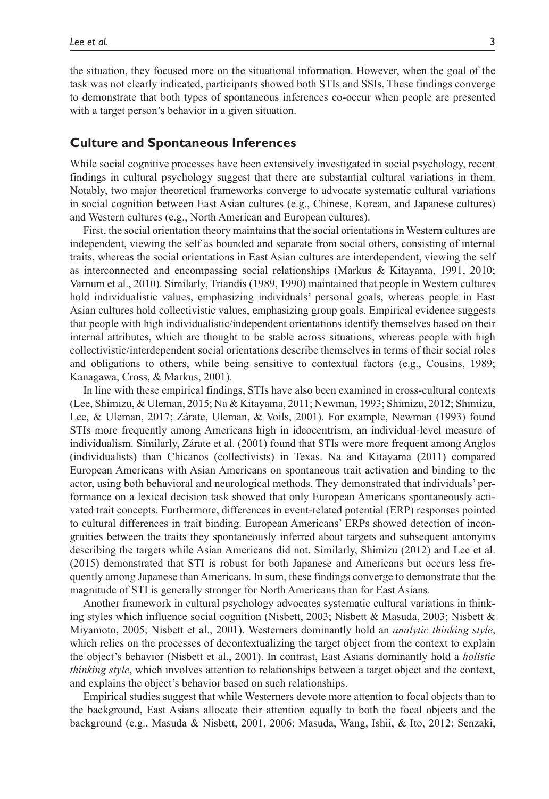the situation, they focused more on the situational information. However, when the goal of the task was not clearly indicated, participants showed both STIs and SSIs. These findings converge to demonstrate that both types of spontaneous inferences co-occur when people are presented with a target person's behavior in a given situation.

### **Culture and Spontaneous Inferences**

While social cognitive processes have been extensively investigated in social psychology, recent findings in cultural psychology suggest that there are substantial cultural variations in them. Notably, two major theoretical frameworks converge to advocate systematic cultural variations in social cognition between East Asian cultures (e.g., Chinese, Korean, and Japanese cultures) and Western cultures (e.g., North American and European cultures).

First, the social orientation theory maintains that the social orientations in Western cultures are independent, viewing the self as bounded and separate from social others, consisting of internal traits, whereas the social orientations in East Asian cultures are interdependent, viewing the self as interconnected and encompassing social relationships (Markus & Kitayama, 1991, 2010; Varnum et al., 2010). Similarly, Triandis (1989, 1990) maintained that people in Western cultures hold individualistic values, emphasizing individuals' personal goals, whereas people in East Asian cultures hold collectivistic values, emphasizing group goals. Empirical evidence suggests that people with high individualistic/independent orientations identify themselves based on their internal attributes, which are thought to be stable across situations, whereas people with high collectivistic/interdependent social orientations describe themselves in terms of their social roles and obligations to others, while being sensitive to contextual factors (e.g., Cousins, 1989; Kanagawa, Cross, & Markus, 2001).

In line with these empirical findings, STIs have also been examined in cross-cultural contexts (Lee, Shimizu, & Uleman, 2015; Na & Kitayama, 2011; Newman, 1993; Shimizu, 2012; Shimizu, Lee, & Uleman, 2017; Zárate, Uleman, & Voils, 2001). For example, Newman (1993) found STIs more frequently among Americans high in ideocentrism, an individual-level measure of individualism. Similarly, Zárate et al. (2001) found that STIs were more frequent among Anglos (individualists) than Chicanos (collectivists) in Texas. Na and Kitayama (2011) compared European Americans with Asian Americans on spontaneous trait activation and binding to the actor, using both behavioral and neurological methods. They demonstrated that individuals' performance on a lexical decision task showed that only European Americans spontaneously activated trait concepts. Furthermore, differences in event-related potential (ERP) responses pointed to cultural differences in trait binding. European Americans' ERPs showed detection of incongruities between the traits they spontaneously inferred about targets and subsequent antonyms describing the targets while Asian Americans did not. Similarly, Shimizu (2012) and Lee et al. (2015) demonstrated that STI is robust for both Japanese and Americans but occurs less frequently among Japanese than Americans. In sum, these findings converge to demonstrate that the magnitude of STI is generally stronger for North Americans than for East Asians.

Another framework in cultural psychology advocates systematic cultural variations in thinking styles which influence social cognition (Nisbett, 2003; Nisbett & Masuda, 2003; Nisbett & Miyamoto, 2005; Nisbett et al., 2001). Westerners dominantly hold an *analytic thinking style*, which relies on the processes of decontextualizing the target object from the context to explain the object's behavior (Nisbett et al., 2001). In contrast, East Asians dominantly hold a *holistic thinking style*, which involves attention to relationships between a target object and the context, and explains the object's behavior based on such relationships.

Empirical studies suggest that while Westerners devote more attention to focal objects than to the background, East Asians allocate their attention equally to both the focal objects and the background (e.g., Masuda & Nisbett, 2001, 2006; Masuda, Wang, Ishii, & Ito, 2012; Senzaki,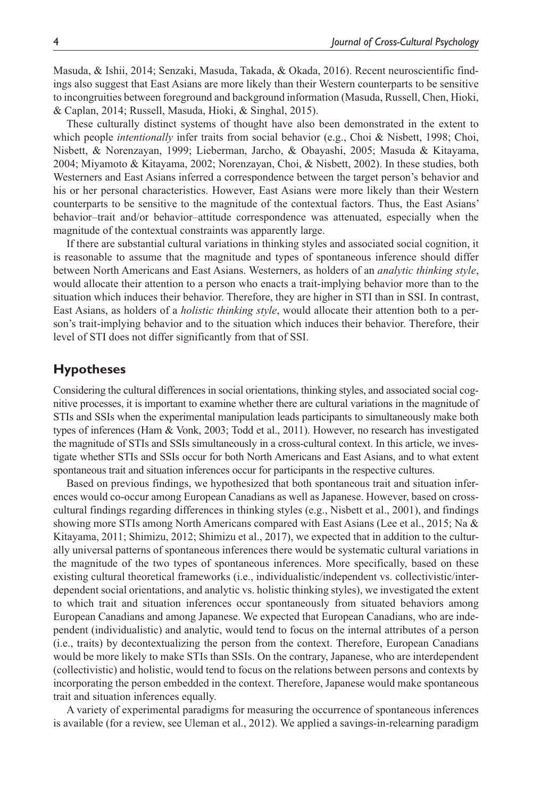Masuda, & Ishii, 2014; Senzaki, Masuda, Takada, & Okada, 2016). Recent neuroscientific findings also suggest that East Asians are more likely than their Western counterparts to be sensitive to incongruities between foreground and background information (Masuda, Russell, Chen, Hioki, & Caplan, 2014; Russell, Masuda, Hioki, & Singhal, 2015).

These culturally distinct systems of thought have also been demonstrated in the extent to which people *intentionally* infer traits from social behavior (e.g., Choi & Nisbett, 1998; Choi, Nisbett, & Norenzayan, 1999; Lieberman, Jarcho, & Obayashi, 2005; Masuda & Kitayama, 2004; Miyamoto & Kitayama, 2002; Norenzayan, Choi, & Nisbett, 2002). In these studies, both Westerners and East Asians inferred a correspondence between the target person's behavior and his or her personal characteristics. However, East Asians were more likely than their Western counterparts to be sensitive to the magnitude of the contextual factors. Thus, the East Asians' behavior–trait and/or behavior–attitude correspondence was attenuated, especially when the magnitude of the contextual constraints was apparently large.

If there are substantial cultural variations in thinking styles and associated social cognition, it is reasonable to assume that the magnitude and types of spontaneous inference should differ between North Americans and East Asians. Westerners, as holders of an *analytic thinking style*, would allocate their attention to a person who enacts a trait-implying behavior more than to the situation which induces their behavior. Therefore, they are higher in STI than in SSI. In contrast, East Asians, as holders of a *holistic thinking style*, would allocate their attention both to a person's trait-implying behavior and to the situation which induces their behavior. Therefore, their level of STI does not differ significantly from that of SSI.

# **Hypotheses**

Considering the cultural differences in social orientations, thinking styles, and associated social cognitive processes, it is important to examine whether there are cultural variations in the magnitude of STIs and SSIs when the experimental manipulation leads participants to simultaneously make both types of inferences (Ham & Vonk, 2003; Todd et al., 2011). However, no research has investigated the magnitude of STIs and SSIs simultaneously in a cross-cultural context. In this article, we investigate whether STIs and SSIs occur for both North Americans and East Asians, and to what extent spontaneous trait and situation inferences occur for participants in the respective cultures.

Based on previous findings, we hypothesized that both spontaneous trait and situation inferences would co-occur among European Canadians as well as Japanese. However, based on crosscultural findings regarding differences in thinking styles (e.g., Nisbett et al., 2001), and findings showing more STIs among North Americans compared with East Asians (Lee et al., 2015; Na & Kitayama, 2011; Shimizu, 2012; Shimizu et al., 2017), we expected that in addition to the culturally universal patterns of spontaneous inferences there would be systematic cultural variations in the magnitude of the two types of spontaneous inferences. More specifically, based on these existing cultural theoretical frameworks (i.e., individualistic/independent vs. collectivistic/interdependent social orientations, and analytic vs. holistic thinking styles), we investigated the extent to which trait and situation inferences occur spontaneously from situated behaviors among European Canadians and among Japanese. We expected that European Canadians, who are independent (individualistic) and analytic, would tend to focus on the internal attributes of a person (i.e., traits) by decontextualizing the person from the context. Therefore, European Canadians would be more likely to make STIs than SSIs. On the contrary, Japanese, who are interdependent (collectivistic) and holistic, would tend to focus on the relations between persons and contexts by incorporating the person embedded in the context. Therefore, Japanese would make spontaneous trait and situation inferences equally.

A variety of experimental paradigms for measuring the occurrence of spontaneous inferences is available (for a review, see Uleman et al., 2012). We applied a savings-in-relearning paradigm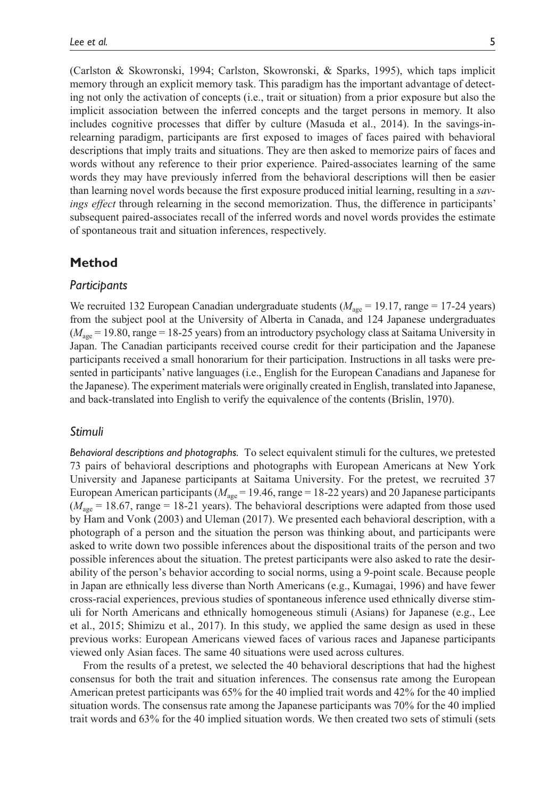(Carlston & Skowronski, 1994; Carlston, Skowronski, & Sparks, 1995), which taps implicit memory through an explicit memory task. This paradigm has the important advantage of detecting not only the activation of concepts (i.e., trait or situation) from a prior exposure but also the implicit association between the inferred concepts and the target persons in memory. It also includes cognitive processes that differ by culture (Masuda et al., 2014). In the savings-inrelearning paradigm, participants are first exposed to images of faces paired with behavioral descriptions that imply traits and situations. They are then asked to memorize pairs of faces and words without any reference to their prior experience. Paired-associates learning of the same words they may have previously inferred from the behavioral descriptions will then be easier than learning novel words because the first exposure produced initial learning, resulting in a *savings effect* through relearning in the second memorization. Thus, the difference in participants' subsequent paired-associates recall of the inferred words and novel words provides the estimate of spontaneous trait and situation inferences, respectively.

# **Method**

#### *Participants*

We recruited 132 European Canadian undergraduate students ( $M_{\text{age}} = 19.17$ , range = 17-24 years) from the subject pool at the University of Alberta in Canada, and 124 Japanese undergraduates  $(M<sub>age</sub> = 19.80$ , range = 18-25 years) from an introductory psychology class at Saitama University in Japan. The Canadian participants received course credit for their participation and the Japanese participants received a small honorarium for their participation. Instructions in all tasks were presented in participants' native languages (i.e., English for the European Canadians and Japanese for the Japanese). The experiment materials were originally created in English, translated into Japanese, and back-translated into English to verify the equivalence of the contents (Brislin, 1970).

#### *Stimuli*

*Behavioral descriptions and photographs.* To select equivalent stimuli for the cultures, we pretested 73 pairs of behavioral descriptions and photographs with European Americans at New York University and Japanese participants at Saitama University. For the pretest, we recruited 37 European American participants ( $M_{\text{age}} = 19.46$ , range = 18-22 years) and 20 Japanese participants  $(M<sub>age</sub> = 18.67, range = 18-21 years)$ . The behavioral descriptions were adapted from those used by Ham and Vonk (2003) and Uleman (2017). We presented each behavioral description, with a photograph of a person and the situation the person was thinking about, and participants were asked to write down two possible inferences about the dispositional traits of the person and two possible inferences about the situation. The pretest participants were also asked to rate the desirability of the person's behavior according to social norms, using a 9-point scale. Because people in Japan are ethnically less diverse than North Americans (e.g., Kumagai, 1996) and have fewer cross-racial experiences, previous studies of spontaneous inference used ethnically diverse stimuli for North Americans and ethnically homogeneous stimuli (Asians) for Japanese (e.g., Lee et al., 2015; Shimizu et al., 2017). In this study, we applied the same design as used in these previous works: European Americans viewed faces of various races and Japanese participants viewed only Asian faces. The same 40 situations were used across cultures.

From the results of a pretest, we selected the 40 behavioral descriptions that had the highest consensus for both the trait and situation inferences. The consensus rate among the European American pretest participants was 65% for the 40 implied trait words and 42% for the 40 implied situation words. The consensus rate among the Japanese participants was 70% for the 40 implied trait words and 63% for the 40 implied situation words. We then created two sets of stimuli (sets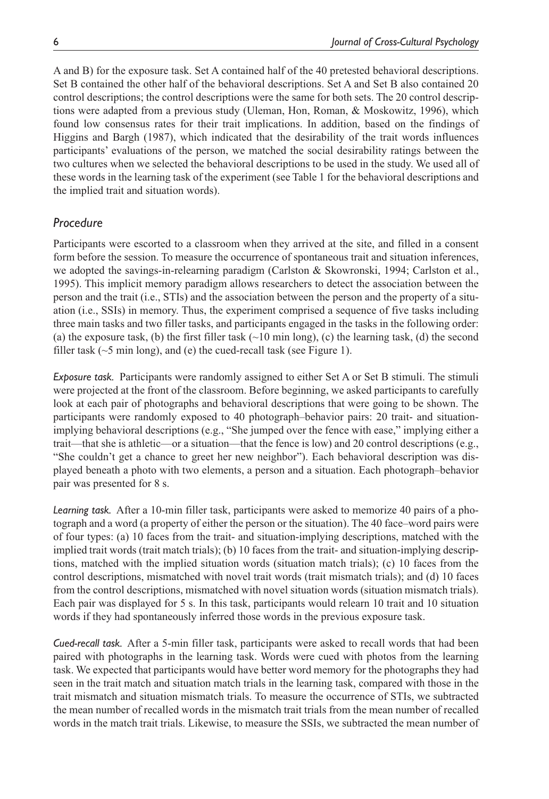A and B) for the exposure task. Set A contained half of the 40 pretested behavioral descriptions. Set B contained the other half of the behavioral descriptions. Set A and Set B also contained 20 control descriptions; the control descriptions were the same for both sets. The 20 control descriptions were adapted from a previous study (Uleman, Hon, Roman, & Moskowitz, 1996), which found low consensus rates for their trait implications. In addition, based on the findings of Higgins and Bargh (1987), which indicated that the desirability of the trait words influences participants' evaluations of the person, we matched the social desirability ratings between the two cultures when we selected the behavioral descriptions to be used in the study. We used all of these words in the learning task of the experiment (see Table 1 for the behavioral descriptions and the implied trait and situation words).

# *Procedure*

Participants were escorted to a classroom when they arrived at the site, and filled in a consent form before the session. To measure the occurrence of spontaneous trait and situation inferences, we adopted the savings-in-relearning paradigm (Carlston & Skowronski, 1994; Carlston et al., 1995). This implicit memory paradigm allows researchers to detect the association between the person and the trait (i.e., STIs) and the association between the person and the property of a situation (i.e., SSIs) in memory. Thus, the experiment comprised a sequence of five tasks including three main tasks and two filler tasks, and participants engaged in the tasks in the following order: (a) the exposure task, (b) the first filler task  $(\sim 10 \text{ min long})$ , (c) the learning task, (d) the second filler task  $(\sim 5 \text{ min long})$ , and (e) the cued-recall task (see Figure 1).

*Exposure task.* Participants were randomly assigned to either Set A or Set B stimuli. The stimuli were projected at the front of the classroom. Before beginning, we asked participants to carefully look at each pair of photographs and behavioral descriptions that were going to be shown. The participants were randomly exposed to 40 photograph–behavior pairs: 20 trait- and situationimplying behavioral descriptions (e.g., "She jumped over the fence with ease," implying either a trait—that she is athletic—or a situation—that the fence is low) and 20 control descriptions (e.g., "She couldn't get a chance to greet her new neighbor"). Each behavioral description was displayed beneath a photo with two elements, a person and a situation. Each photograph–behavior pair was presented for 8 s.

*Learning task.* After a 10-min filler task, participants were asked to memorize 40 pairs of a photograph and a word (a property of either the person or the situation). The 40 face–word pairs were of four types: (a) 10 faces from the trait- and situation-implying descriptions, matched with the implied trait words (trait match trials); (b) 10 faces from the trait- and situation-implying descriptions, matched with the implied situation words (situation match trials); (c) 10 faces from the control descriptions, mismatched with novel trait words (trait mismatch trials); and (d) 10 faces from the control descriptions, mismatched with novel situation words (situation mismatch trials). Each pair was displayed for 5 s. In this task, participants would relearn 10 trait and 10 situation words if they had spontaneously inferred those words in the previous exposure task.

*Cued-recall task.* After a 5-min filler task, participants were asked to recall words that had been paired with photographs in the learning task. Words were cued with photos from the learning task. We expected that participants would have better word memory for the photographs they had seen in the trait match and situation match trials in the learning task, compared with those in the trait mismatch and situation mismatch trials. To measure the occurrence of STIs, we subtracted the mean number of recalled words in the mismatch trait trials from the mean number of recalled words in the match trait trials. Likewise, to measure the SSIs, we subtracted the mean number of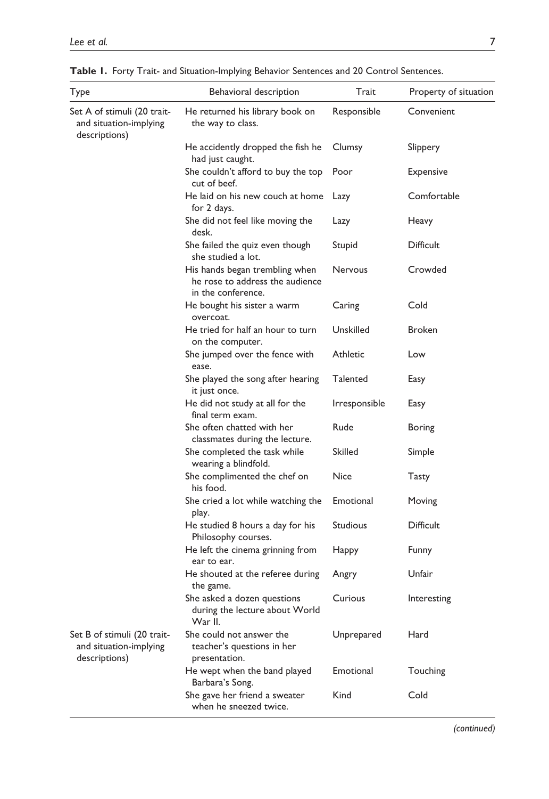| Туре                                                                   | Behavioral description                                                                  | Trait           | Property of situation |
|------------------------------------------------------------------------|-----------------------------------------------------------------------------------------|-----------------|-----------------------|
| Set A of stimuli (20 trait-<br>and situation-implying<br>descriptions) | He returned his library book on<br>the way to class.                                    | Responsible     | Convenient            |
|                                                                        | He accidently dropped the fish he<br>had just caught.                                   | Clumsy          | Slippery              |
|                                                                        | She couldn't afford to buy the top<br>cut of beef.                                      | Poor            | <b>Expensive</b>      |
|                                                                        | He laid on his new couch at home<br>for 2 days.                                         | Lazy            | Comfortable           |
|                                                                        | She did not feel like moving the<br>desk.                                               | Lazy            | Heavy                 |
|                                                                        | She failed the quiz even though<br>she studied a lot.                                   | Stupid          | Difficult             |
|                                                                        | His hands began trembling when<br>he rose to address the audience<br>in the conference. | Nervous         | Crowded               |
|                                                                        | He bought his sister a warm<br>overcoat.                                                | Caring          | Cold                  |
|                                                                        | He tried for half an hour to turn<br>on the computer.                                   | Unskilled       | Broken                |
|                                                                        | She jumped over the fence with<br>ease.                                                 | Athletic        | Low                   |
|                                                                        | She played the song after hearing<br>it just once.                                      | Talented        | Easy                  |
|                                                                        | He did not study at all for the<br>final term exam.                                     | Irresponsible   | Easy                  |
|                                                                        | She often chatted with her<br>classmates during the lecture.                            | Rude            | <b>Boring</b>         |
|                                                                        | She completed the task while<br>wearing a blindfold.                                    | Skilled         | Simple                |
|                                                                        | She complimented the chef on<br>his food.                                               | Nice            | Tasty                 |
|                                                                        | She cried a lot while watching the<br>play.                                             | Emotional       | Moving                |
|                                                                        | He studied 8 hours a day for his<br>Philosophy courses.                                 | <b>Studious</b> | Difficult             |
|                                                                        | He left the cinema grinning from<br>ear to ear.                                         | Happy           | Funny                 |
|                                                                        | He shouted at the referee during<br>the game.                                           | Angry           | Unfair                |
|                                                                        | She asked a dozen questions<br>during the lecture about World<br>War II.                | Curious         | Interesting           |
| Set B of stimuli (20 trait-<br>and situation-implying<br>descriptions) | She could not answer the<br>teacher's questions in her<br>presentation.                 | Unprepared      | Hard                  |
|                                                                        | He wept when the band played<br>Barbara's Song.                                         | Emotional       | Touching              |
|                                                                        | She gave her friend a sweater<br>when he sneezed twice.                                 | Kind            | Cold                  |

**Table 1.** Forty Trait- and Situation-Implying Behavior Sentences and 20 Control Sentences.

*(continued)*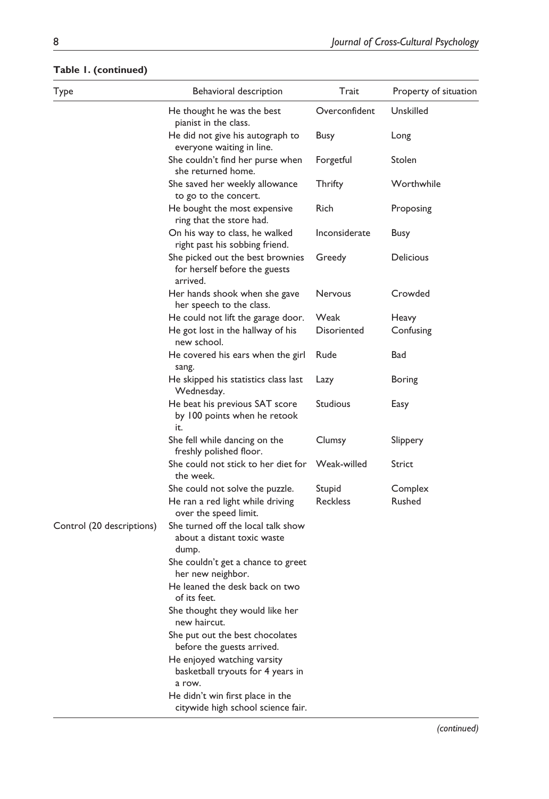# **Table 1. (continued)**

| Type                      | Behavioral description                                                        | Trait           | Property of situation |
|---------------------------|-------------------------------------------------------------------------------|-----------------|-----------------------|
|                           | He thought he was the best<br>pianist in the class.                           | Overconfident   | Unskilled             |
|                           | He did not give his autograph to<br>everyone waiting in line.                 | Busy            | Long                  |
|                           | She couldn't find her purse when<br>she returned home.                        | Forgetful       | Stolen                |
|                           | She saved her weekly allowance<br>to go to the concert.                       | <b>Thrifty</b>  | Worthwhile            |
|                           | He bought the most expensive<br>ring that the store had.                      | Rich            | Proposing             |
|                           | On his way to class, he walked<br>right past his sobbing friend.              | Inconsiderate   | Busy                  |
|                           | She picked out the best brownies<br>for herself before the guests<br>arrived. | Greedy          | Delicious             |
|                           | Her hands shook when she gave<br>her speech to the class.                     | Nervous         | Crowded               |
|                           | He could not lift the garage door.                                            | Weak            | Heavy                 |
|                           | He got lost in the hallway of his<br>new school.                              | Disoriented     | Confusing             |
|                           | He covered his ears when the girl<br>sang.                                    | Rude            | Bad                   |
|                           | He skipped his statistics class last<br>Wednesday.                            | Lazy            | <b>Boring</b>         |
|                           | He beat his previous SAT score<br>by 100 points when he retook<br>it.         | <b>Studious</b> | Easy                  |
|                           | She fell while dancing on the<br>freshly polished floor.                      | Clumsy          | Slippery              |
|                           | She could not stick to her diet for<br>the week.                              | Weak-willed     | Strict                |
|                           | She could not solve the puzzle.                                               | Stupid          | Complex               |
|                           | He ran a red light while driving<br>over the speed limit.                     | <b>Reckless</b> | Rushed                |
| Control (20 descriptions) | She turned off the local talk show<br>about a distant toxic waste<br>dump.    |                 |                       |
|                           | She couldn't get a chance to greet<br>her new neighbor.                       |                 |                       |
|                           | He leaned the desk back on two<br>of its feet.                                |                 |                       |
|                           | She thought they would like her<br>new haircut.                               |                 |                       |
|                           | She put out the best chocolates<br>before the guests arrived.                 |                 |                       |
|                           | He enjoyed watching varsity<br>basketball tryouts for 4 years in<br>a row.    |                 |                       |
|                           | He didn't win first place in the<br>citywide high school science fair.        |                 |                       |

*(continued)*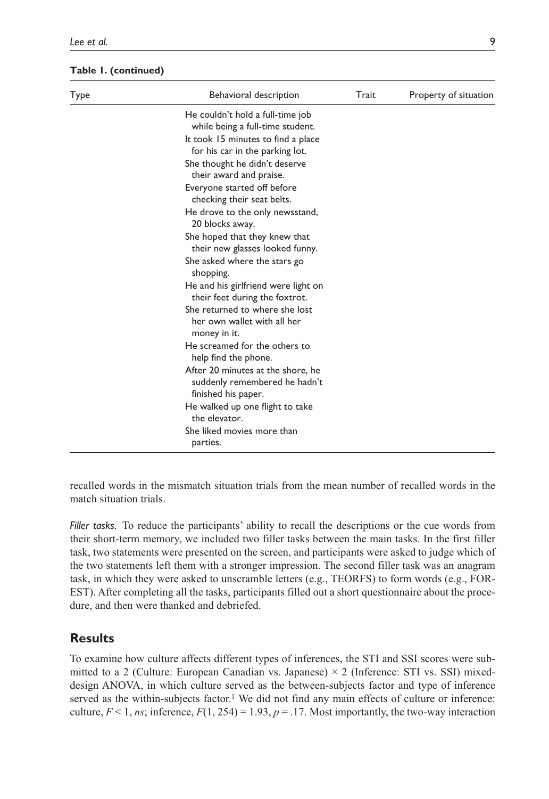#### **Table 1. (continued)**

| Type | Behavioral description                                                                                                                        | Trait | Property of situation |
|------|-----------------------------------------------------------------------------------------------------------------------------------------------|-------|-----------------------|
|      | He couldn't hold a full-time job<br>while being a full-time student.<br>It took 15 minutes to find a place<br>for his car in the parking lot. |       |                       |
|      | She thought he didn't deserve<br>their award and praise.                                                                                      |       |                       |
|      | Everyone started off before<br>checking their seat belts.                                                                                     |       |                       |
|      | He drove to the only newsstand,<br>20 blocks away.                                                                                            |       |                       |
|      | She hoped that they knew that<br>their new glasses looked funny.                                                                              |       |                       |
|      | She asked where the stars go<br>shopping.                                                                                                     |       |                       |
|      | He and his girlfriend were light on<br>their feet during the foxtrot.                                                                         |       |                       |
|      | She returned to where she lost<br>her own wallet with all her<br>money in it.                                                                 |       |                       |
|      | He screamed for the others to<br>help find the phone.                                                                                         |       |                       |
|      | After 20 minutes at the shore, he<br>suddenly remembered he hadn't<br>finished his paper.                                                     |       |                       |
|      | He walked up one flight to take<br>the elevator.                                                                                              |       |                       |
|      | She liked movies more than<br>parties.                                                                                                        |       |                       |

recalled words in the mismatch situation trials from the mean number of recalled words in the match situation trials.

*Filler tasks.* To reduce the participants' ability to recall the descriptions or the cue words from their short-term memory, we included two filler tasks between the main tasks. In the first filler task, two statements were presented on the screen, and participants were asked to judge which of the two statements left them with a stronger impression. The second filler task was an anagram task, in which they were asked to unscramble letters (e.g., TEORFS) to form words (e.g., FOR-EST). After completing all the tasks, participants filled out a short questionnaire about the procedure, and then were thanked and debriefed.

# **Results**

To examine how culture affects different types of inferences, the STI and SSI scores were submitted to a 2 (Culture: European Canadian vs. Japanese)  $\times$  2 (Inference: STI vs. SSI) mixeddesign ANOVA, in which culture served as the between-subjects factor and type of inference served as the within-subjects factor.<sup>1</sup> We did not find any main effects of culture or inference: culture,  $F < 1$ , *ns*; inference,  $F(1, 254) = 1.93$ ,  $p = .17$ . Most importantly, the two-way interaction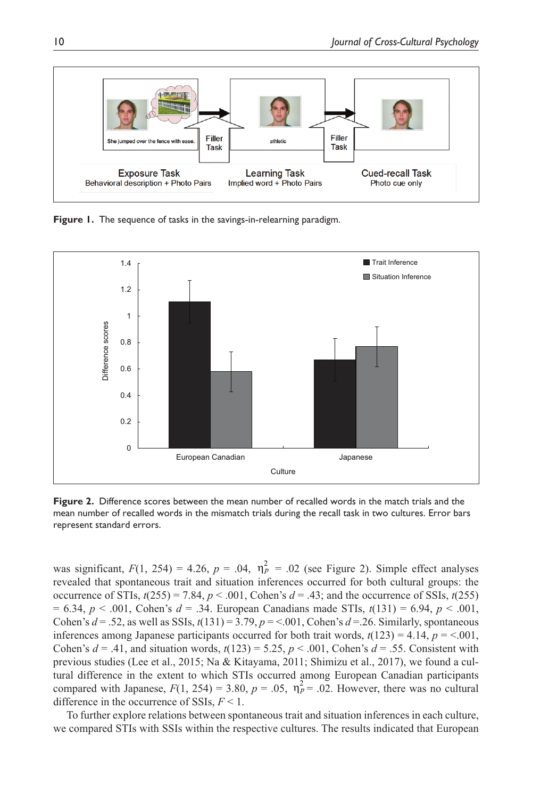

**Figure 1.** The sequence of tasks in the savings-in-relearning paradigm.



**Figure 2.** Difference scores between the mean number of recalled words in the match trials and the mean number of recalled words in the mismatch trials during the recall task in two cultures. Error bars represent standard errors.

was significant,  $F(1, 254) = 4.26$ ,  $p = .04$ ,  $\eta_p^2 = .02$  (see Figure 2). Simple effect analyses revealed that spontaneous trait and situation inferences occurred for both cultural groups: the occurrence of STIs,  $t(255) = 7.84$ ,  $p < .001$ , Cohen's  $d = .43$ ; and the occurrence of SSIs,  $t(255)$ = 6.34, *p* < .001, Cohen's *d* = .34. European Canadians made STIs, *t*(131) = 6.94, *p* < .001, Cohen's  $d = 0.52$ , as well as SSIs,  $t(131) = 3.79$ ,  $p = 0.001$ , Cohen's  $d = 0.26$ . Similarly, spontaneous inferences among Japanese participants occurred for both trait words,  $t(123) = 4.14$ ,  $p = <.001$ , Cohen's  $d = .41$ , and situation words,  $t(123) = 5.25$ ,  $p < .001$ , Cohen's  $d = .55$ . Consistent with previous studies (Lee et al., 2015; Na & Kitayama, 2011; Shimizu et al., 2017), we found a cultural difference in the extent to which STIs occurred among European Canadian participants compared with Japanese,  $F(1, 254) = 3.80$ ,  $p = .05$ ,  $\eta_p^2 = .02$ . However, there was no cultural difference in the occurrence of SSIs, *F* < 1.

To further explore relations between spontaneous trait and situation inferences in each culture, we compared STIs with SSIs within the respective cultures. The results indicated that European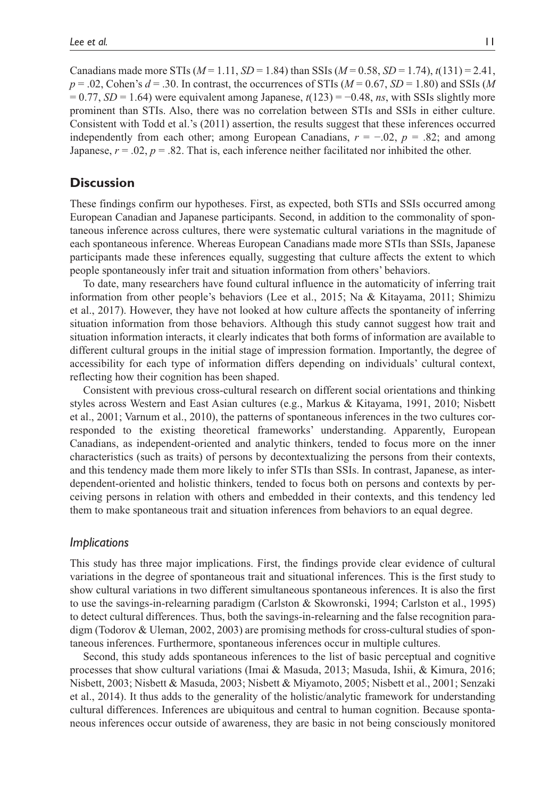Canadians made more STIs ( $M = 1.11$ ,  $SD = 1.84$ ) than SSIs ( $M = 0.58$ ,  $SD = 1.74$ ),  $t(131) = 2.41$ ,  $p = .02$ , Cohen's  $d = .30$ . In contrast, the occurrences of STIs ( $M = 0.67$ ,  $SD = 1.80$ ) and SSIs ( $M$  $= 0.77$ , *SD* = 1.64) were equivalent among Japanese,  $t(123) = -0.48$ , *ns*, with SSIs slightly more prominent than STIs. Also, there was no correlation between STIs and SSIs in either culture. Consistent with Todd et al.'s (2011) assertion, the results suggest that these inferences occurred independently from each other; among European Canadians,  $r = -0.02$ ,  $p = 0.82$ ; and among Japanese,  $r = 0.02$ ,  $p = 0.82$ . That is, each inference neither facilitated nor inhibited the other.

# **Discussion**

These findings confirm our hypotheses. First, as expected, both STIs and SSIs occurred among European Canadian and Japanese participants. Second, in addition to the commonality of spontaneous inference across cultures, there were systematic cultural variations in the magnitude of each spontaneous inference. Whereas European Canadians made more STIs than SSIs, Japanese participants made these inferences equally, suggesting that culture affects the extent to which people spontaneously infer trait and situation information from others' behaviors.

To date, many researchers have found cultural influence in the automaticity of inferring trait information from other people's behaviors (Lee et al., 2015; Na & Kitayama, 2011; Shimizu et al., 2017). However, they have not looked at how culture affects the spontaneity of inferring situation information from those behaviors. Although this study cannot suggest how trait and situation information interacts, it clearly indicates that both forms of information are available to different cultural groups in the initial stage of impression formation. Importantly, the degree of accessibility for each type of information differs depending on individuals' cultural context, reflecting how their cognition has been shaped.

Consistent with previous cross-cultural research on different social orientations and thinking styles across Western and East Asian cultures (e.g., Markus & Kitayama, 1991, 2010; Nisbett et al., 2001; Varnum et al., 2010), the patterns of spontaneous inferences in the two cultures corresponded to the existing theoretical frameworks' understanding. Apparently, European Canadians, as independent-oriented and analytic thinkers, tended to focus more on the inner characteristics (such as traits) of persons by decontextualizing the persons from their contexts, and this tendency made them more likely to infer STIs than SSIs. In contrast, Japanese, as interdependent-oriented and holistic thinkers, tended to focus both on persons and contexts by perceiving persons in relation with others and embedded in their contexts, and this tendency led them to make spontaneous trait and situation inferences from behaviors to an equal degree.

#### *Implications*

This study has three major implications. First, the findings provide clear evidence of cultural variations in the degree of spontaneous trait and situational inferences. This is the first study to show cultural variations in two different simultaneous spontaneous inferences. It is also the first to use the savings-in-relearning paradigm (Carlston & Skowronski, 1994; Carlston et al., 1995) to detect cultural differences. Thus, both the savings-in-relearning and the false recognition paradigm (Todorov & Uleman, 2002, 2003) are promising methods for cross-cultural studies of spontaneous inferences. Furthermore, spontaneous inferences occur in multiple cultures.

Second, this study adds spontaneous inferences to the list of basic perceptual and cognitive processes that show cultural variations (Imai & Masuda, 2013; Masuda, Ishii, & Kimura, 2016; Nisbett, 2003; Nisbett & Masuda, 2003; Nisbett & Miyamoto, 2005; Nisbett et al., 2001; Senzaki et al., 2014). It thus adds to the generality of the holistic/analytic framework for understanding cultural differences. Inferences are ubiquitous and central to human cognition. Because spontaneous inferences occur outside of awareness, they are basic in not being consciously monitored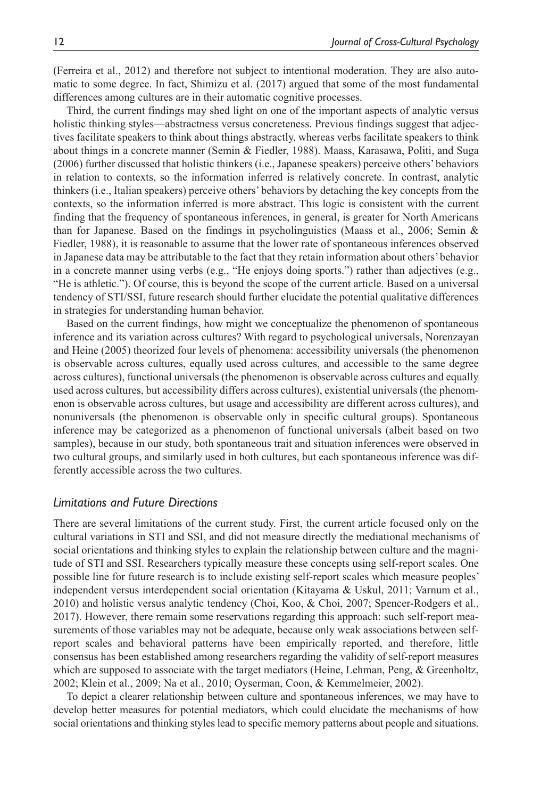(Ferreira et al., 2012) and therefore not subject to intentional moderation. They are also automatic to some degree. In fact, Shimizu et al. (2017) argued that some of the most fundamental differences among cultures are in their automatic cognitive processes.

Third, the current findings may shed light on one of the important aspects of analytic versus holistic thinking styles—abstractness versus concreteness. Previous findings suggest that adjectives facilitate speakers to think about things abstractly, whereas verbs facilitate speakers to think about things in a concrete manner (Semin & Fiedler, 1988). Maass, Karasawa, Politi, and Suga (2006) further discussed that holistic thinkers (i.e., Japanese speakers) perceive others' behaviors in relation to contexts, so the information inferred is relatively concrete. In contrast, analytic thinkers (i.e., Italian speakers) perceive others' behaviors by detaching the key concepts from the contexts, so the information inferred is more abstract. This logic is consistent with the current finding that the frequency of spontaneous inferences, in general, is greater for North Americans than for Japanese. Based on the findings in psycholinguistics (Maass et al., 2006; Semin  $\&$ Fiedler, 1988), it is reasonable to assume that the lower rate of spontaneous inferences observed in Japanese data may be attributable to the fact that they retain information about others' behavior in a concrete manner using verbs (e.g., "He enjoys doing sports.") rather than adjectives (e.g., "He is athletic."). Of course, this is beyond the scope of the current article. Based on a universal tendency of STI/SSI, future research should further elucidate the potential qualitative differences in strategies for understanding human behavior.

Based on the current findings, how might we conceptualize the phenomenon of spontaneous inference and its variation across cultures? With regard to psychological universals, Norenzayan and Heine (2005) theorized four levels of phenomena: accessibility universals (the phenomenon is observable across cultures, equally used across cultures, and accessible to the same degree across cultures), functional universals (the phenomenon is observable across cultures and equally used across cultures, but accessibility differs across cultures), existential universals (the phenomenon is observable across cultures, but usage and accessibility are different across cultures), and nonuniversals (the phenomenon is observable only in specific cultural groups). Spontaneous inference may be categorized as a phenomenon of functional universals (albeit based on two samples), because in our study, both spontaneous trait and situation inferences were observed in two cultural groups, and similarly used in both cultures, but each spontaneous inference was differently accessible across the two cultures.

### *Limitations and Future Directions*

There are several limitations of the current study. First, the current article focused only on the cultural variations in STI and SSI, and did not measure directly the mediational mechanisms of social orientations and thinking styles to explain the relationship between culture and the magnitude of STI and SSI. Researchers typically measure these concepts using self-report scales. One possible line for future research is to include existing self-report scales which measure peoples' independent versus interdependent social orientation (Kitayama & Uskul, 2011; Varnum et al., 2010) and holistic versus analytic tendency (Choi, Koo, & Choi, 2007; Spencer-Rodgers et al., 2017). However, there remain some reservations regarding this approach: such self-report measurements of those variables may not be adequate, because only weak associations between selfreport scales and behavioral patterns have been empirically reported, and therefore, little consensus has been established among researchers regarding the validity of self-report measures which are supposed to associate with the target mediators (Heine, Lehman, Peng, & Greenholtz, 2002; Klein et al., 2009; Na et al., 2010; Oyserman, Coon, & Kemmelmeier, 2002).

To depict a clearer relationship between culture and spontaneous inferences, we may have to develop better measures for potential mediators, which could elucidate the mechanisms of how social orientations and thinking styles lead to specific memory patterns about people and situations.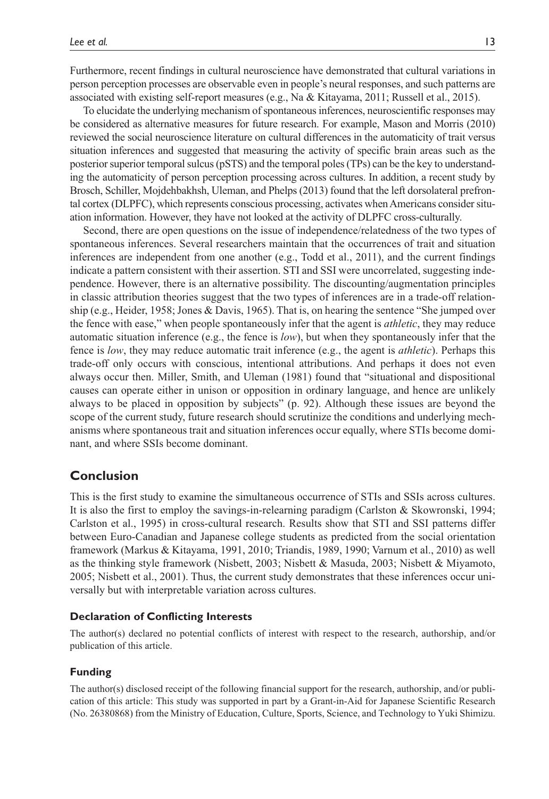Furthermore, recent findings in cultural neuroscience have demonstrated that cultural variations in person perception processes are observable even in people's neural responses, and such patterns are associated with existing self-report measures (e.g., Na & Kitayama, 2011; Russell et al., 2015).

To elucidate the underlying mechanism of spontaneous inferences, neuroscientific responses may be considered as alternative measures for future research. For example, Mason and Morris (2010) reviewed the social neuroscience literature on cultural differences in the automaticity of trait versus situation inferences and suggested that measuring the activity of specific brain areas such as the posterior superior temporal sulcus (pSTS) and the temporal poles (TPs) can be the key to understanding the automaticity of person perception processing across cultures. In addition, a recent study by Brosch, Schiller, Mojdehbakhsh, Uleman, and Phelps (2013) found that the left dorsolateral prefrontal cortex (DLPFC), which represents conscious processing, activates when Americans consider situation information. However, they have not looked at the activity of DLPFC cross-culturally.

Second, there are open questions on the issue of independence/relatedness of the two types of spontaneous inferences. Several researchers maintain that the occurrences of trait and situation inferences are independent from one another (e.g., Todd et al., 2011), and the current findings indicate a pattern consistent with their assertion. STI and SSI were uncorrelated, suggesting independence. However, there is an alternative possibility. The discounting/augmentation principles in classic attribution theories suggest that the two types of inferences are in a trade-off relationship (e.g., Heider, 1958; Jones & Davis, 1965). That is, on hearing the sentence "She jumped over the fence with ease," when people spontaneously infer that the agent is *athletic*, they may reduce automatic situation inference (e.g., the fence is *low*), but when they spontaneously infer that the fence is *low*, they may reduce automatic trait inference (e.g., the agent is *athletic*). Perhaps this trade-off only occurs with conscious, intentional attributions. And perhaps it does not even always occur then. Miller, Smith, and Uleman (1981) found that "situational and dispositional causes can operate either in unison or opposition in ordinary language, and hence are unlikely always to be placed in opposition by subjects" (p. 92). Although these issues are beyond the scope of the current study, future research should scrutinize the conditions and underlying mechanisms where spontaneous trait and situation inferences occur equally, where STIs become dominant, and where SSIs become dominant.

# **Conclusion**

This is the first study to examine the simultaneous occurrence of STIs and SSIs across cultures. It is also the first to employ the savings-in-relearning paradigm (Carlston & Skowronski, 1994; Carlston et al., 1995) in cross-cultural research. Results show that STI and SSI patterns differ between Euro-Canadian and Japanese college students as predicted from the social orientation framework (Markus & Kitayama, 1991, 2010; Triandis, 1989, 1990; Varnum et al., 2010) as well as the thinking style framework (Nisbett, 2003; Nisbett & Masuda, 2003; Nisbett & Miyamoto, 2005; Nisbett et al., 2001). Thus, the current study demonstrates that these inferences occur universally but with interpretable variation across cultures.

#### **Declaration of Conflicting Interests**

The author(s) declared no potential conflicts of interest with respect to the research, authorship, and/or publication of this article.

#### **Funding**

The author(s) disclosed receipt of the following financial support for the research, authorship, and/or publication of this article: This study was supported in part by a Grant-in-Aid for Japanese Scientific Research (No. 26380868) from the Ministry of Education, Culture, Sports, Science, and Technology to Yuki Shimizu.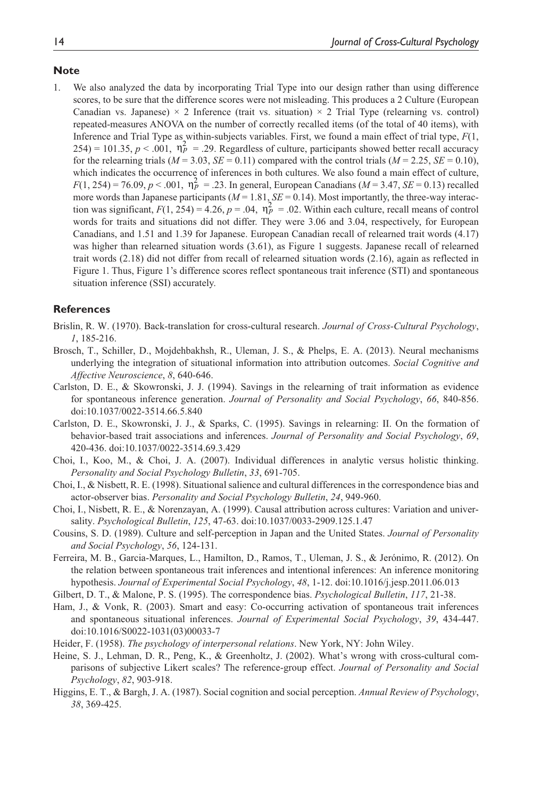#### **Note**

1. We also analyzed the data by incorporating Trial Type into our design rather than using difference scores, to be sure that the difference scores were not misleading. This produces a 2 Culture (European Canadian vs. Japanese)  $\times$  2 Inference (trait vs. situation)  $\times$  2 Trial Type (relearning vs. control) repeated-measures ANOVA on the number of correctly recalled items (of the total of 40 items), with Inference and Trial Type as within-subjects variables. First, we found a main effect of trial type, *F*(1, 254) = 101.35,  $p < .001$ ,  $\eta_p^2 = .29$ . Regardless of culture, participants showed better recall accuracy for the relearning trials ( $M = 3.03$ ,  $SE = 0.11$ ) compared with the control trials ( $M = 2.25$ ,  $SE = 0.10$ ), which indicates the occurrence of inferences in both cultures. We also found a main effect of culture,  $F(1, 254) = 76.09, p < .001, \eta_P^2 = .23$ . In general, European Canadians (*M* = 3.47, *SE* = 0.13) recalled more words than Japanese participants  $(M = 1.81, SE = 0.14)$ . Most importantly, the three-way interaction was significant,  $F(1, 254) = 4.26$ ,  $p = .04$ ,  $\eta_p^2 = .02$ . Within each culture, recall means of control words for traits and situations did not differ. They were 3.06 and 3.04, respectively, for European Canadians, and 1.51 and 1.39 for Japanese. European Canadian recall of relearned trait words (4.17) was higher than relearned situation words (3.61), as Figure 1 suggests. Japanese recall of relearned trait words (2.18) did not differ from recall of relearned situation words (2.16), again as reflected in Figure 1. Thus, Figure 1's difference scores reflect spontaneous trait inference (STI) and spontaneous situation inference (SSI) accurately.

#### **References**

- Brislin, R. W. (1970). Back-translation for cross-cultural research. *Journal of Cross-Cultural Psychology*, *1*, 185-216.
- Brosch, T., Schiller, D., Mojdehbakhsh, R., Uleman, J. S., & Phelps, E. A. (2013). Neural mechanisms underlying the integration of situational information into attribution outcomes. *Social Cognitive and Affective Neuroscience*, *8*, 640-646.
- Carlston, D. E., & Skowronski, J. J. (1994). Savings in the relearning of trait information as evidence for spontaneous inference generation. *Journal of Personality and Social Psychology*, *66*, 840-856. doi:10.1037/0022-3514.66.5.840
- Carlston, D. E., Skowronski, J. J., & Sparks, C. (1995). Savings in relearning: II. On the formation of behavior-based trait associations and inferences. *Journal of Personality and Social Psychology*, *69*, 420-436. doi:10.1037/0022-3514.69.3.429
- Choi, I., Koo, M., & Choi, J. A. (2007). Individual differences in analytic versus holistic thinking. *Personality and Social Psychology Bulletin*, *33*, 691-705.
- Choi, I., & Nisbett, R. E. (1998). Situational salience and cultural differences in the correspondence bias and actor-observer bias. *Personality and Social Psychology Bulletin*, *24*, 949-960.
- Choi, I., Nisbett, R. E., & Norenzayan, A. (1999). Causal attribution across cultures: Variation and universality. *Psychological Bulletin*, *125*, 47-63. doi:10.1037/0033-2909.125.1.47
- Cousins, S. D. (1989). Culture and self-perception in Japan and the United States. *Journal of Personality and Social Psychology*, *56*, 124-131.
- Ferreira, M. B., Garcia-Marques, L., Hamilton, D., Ramos, T., Uleman, J. S., & Jerónimo, R. (2012). On the relation between spontaneous trait inferences and intentional inferences: An inference monitoring hypothesis. *Journal of Experimental Social Psychology*, *48*, 1-12. doi:10.1016/j.jesp.2011.06.013
- Gilbert, D. T., & Malone, P. S. (1995). The correspondence bias. *Psychological Bulletin*, *117*, 21-38.
- Ham, J., & Vonk, R. (2003). Smart and easy: Co-occurring activation of spontaneous trait inferences and spontaneous situational inferences. *Journal of Experimental Social Psychology*, *39*, 434-447. doi:10.1016/S0022-1031(03)00033-7
- Heider, F. (1958). *The psychology of interpersonal relations*. New York, NY: John Wiley.
- Heine, S. J., Lehman, D. R., Peng, K., & Greenholtz, J. (2002). What's wrong with cross-cultural comparisons of subjective Likert scales? The reference-group effect. *Journal of Personality and Social Psychology*, *82*, 903-918.
- Higgins, E. T., & Bargh, J. A. (1987). Social cognition and social perception. *Annual Review of Psychology*, *38*, 369-425.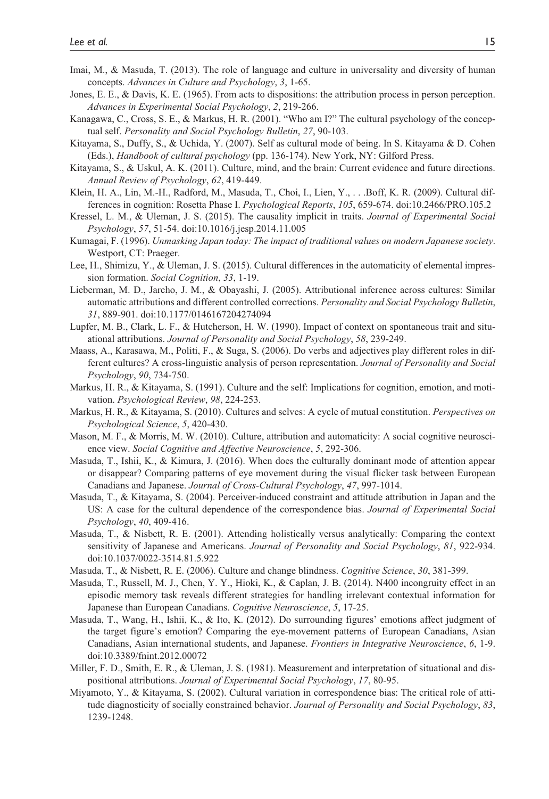- Imai, M., & Masuda, T. (2013). The role of language and culture in universality and diversity of human concepts. *Advances in Culture and Psychology*, *3*, 1-65.
- Jones, E. E., & Davis, K. E. (1965). From acts to dispositions: the attribution process in person perception. *Advances in Experimental Social Psychology*, *2*, 219-266.
- Kanagawa, C., Cross, S. E., & Markus, H. R. (2001). "Who am I?" The cultural psychology of the conceptual self. *Personality and Social Psychology Bulletin*, *27*, 90-103.
- Kitayama, S., Duffy, S., & Uchida, Y. (2007). Self as cultural mode of being. In S. Kitayama & D. Cohen (Eds.), *Handbook of cultural psychology* (pp. 136-174). New York, NY: Gilford Press.
- Kitayama, S., & Uskul, A. K. (2011). Culture, mind, and the brain: Current evidence and future directions. *Annual Review of Psychology*, *62*, 419-449.
- Klein, H. A., Lin, M.-H., Radford, M., Masuda, T., Choi, I., Lien, Y., . . .Boff, K. R. (2009). Cultural differences in cognition: Rosetta Phase I. *Psychological Reports*, *105*, 659-674. doi:10.2466/PRO.105.2
- Kressel, L. M., & Uleman, J. S. (2015). The causality implicit in traits. *Journal of Experimental Social Psychology*, *57*, 51-54. doi:10.1016/j.jesp.2014.11.005
- Kumagai, F. (1996). *Unmasking Japan today: The impact of traditional values on modern Japanese society*. Westport, CT: Praeger.
- Lee, H., Shimizu, Y., & Uleman, J. S. (2015). Cultural differences in the automaticity of elemental impression formation. *Social Cognition*, *33*, 1-19.
- Lieberman, M. D., Jarcho, J. M., & Obayashi, J. (2005). Attributional inference across cultures: Similar automatic attributions and different controlled corrections. *Personality and Social Psychology Bulletin*, *31*, 889-901. doi:10.1177/0146167204274094
- Lupfer, M. B., Clark, L. F., & Hutcherson, H. W. (1990). Impact of context on spontaneous trait and situational attributions. *Journal of Personality and Social Psychology*, *58*, 239-249.
- Maass, A., Karasawa, M., Politi, F., & Suga, S. (2006). Do verbs and adjectives play different roles in different cultures? A cross-linguistic analysis of person representation. *Journal of Personality and Social Psychology*, *90*, 734-750.
- Markus, H. R., & Kitayama, S. (1991). Culture and the self: Implications for cognition, emotion, and motivation. *Psychological Review*, *98*, 224-253.
- Markus, H. R., & Kitayama, S. (2010). Cultures and selves: A cycle of mutual constitution. *Perspectives on Psychological Science*, *5*, 420-430.
- Mason, M. F., & Morris, M. W. (2010). Culture, attribution and automaticity: A social cognitive neuroscience view. *Social Cognitive and Affective Neuroscience*, *5*, 292-306.
- Masuda, T., Ishii, K., & Kimura, J. (2016). When does the culturally dominant mode of attention appear or disappear? Comparing patterns of eye movement during the visual flicker task between European Canadians and Japanese. *Journal of Cross-Cultural Psychology*, *47*, 997-1014.
- Masuda, T., & Kitayama, S. (2004). Perceiver-induced constraint and attitude attribution in Japan and the US: A case for the cultural dependence of the correspondence bias. *Journal of Experimental Social Psychology*, *40*, 409-416.
- Masuda, T., & Nisbett, R. E. (2001). Attending holistically versus analytically: Comparing the context sensitivity of Japanese and Americans. *Journal of Personality and Social Psychology*, *81*, 922-934. doi:10.1037/0022-3514.81.5.922
- Masuda, T., & Nisbett, R. E. (2006). Culture and change blindness. *Cognitive Science*, *30*, 381-399.
- Masuda, T., Russell, M. J., Chen, Y. Y., Hioki, K., & Caplan, J. B. (2014). N400 incongruity effect in an episodic memory task reveals different strategies for handling irrelevant contextual information for Japanese than European Canadians. *Cognitive Neuroscience*, *5*, 17-25.
- Masuda, T., Wang, H., Ishii, K., & Ito, K. (2012). Do surrounding figures' emotions affect judgment of the target figure's emotion? Comparing the eye-movement patterns of European Canadians, Asian Canadians, Asian international students, and Japanese. *Frontiers in Integrative Neuroscience*, *6*, 1-9. doi:10.3389/fnint.2012.00072
- Miller, F. D., Smith, E. R., & Uleman, J. S. (1981). Measurement and interpretation of situational and dispositional attributions. *Journal of Experimental Social Psychology*, *17*, 80-95.
- Miyamoto, Y., & Kitayama, S. (2002). Cultural variation in correspondence bias: The critical role of attitude diagnosticity of socially constrained behavior. *Journal of Personality and Social Psychology*, *83*, 1239-1248.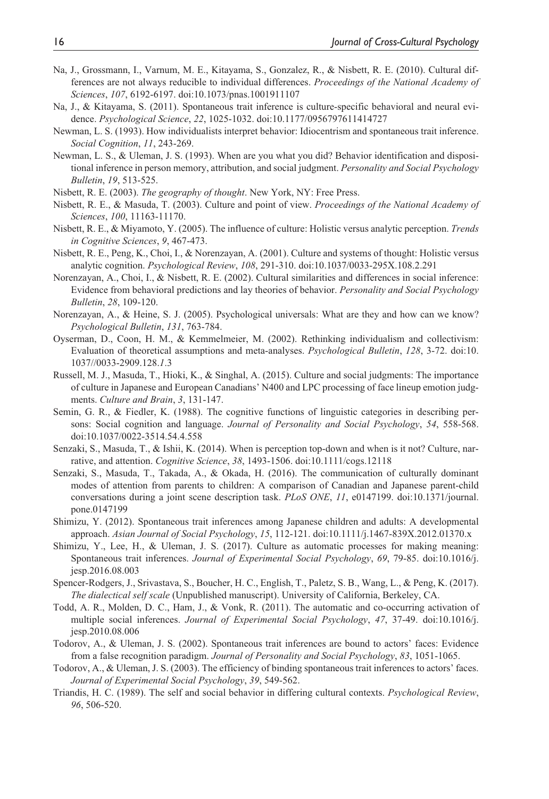- Na, J., Grossmann, I., Varnum, M. E., Kitayama, S., Gonzalez, R., & Nisbett, R. E. (2010). Cultural differences are not always reducible to individual differences. *Proceedings of the National Academy of Sciences*, *107*, 6192-6197. doi:10.1073/pnas.1001911107
- Na, J., & Kitayama, S. (2011). Spontaneous trait inference is culture-specific behavioral and neural evidence. *Psychological Science*, *22*, 1025-1032. doi:10.1177/0956797611414727
- Newman, L. S. (1993). How individualists interpret behavior: Idiocentrism and spontaneous trait inference. *Social Cognition*, *11*, 243-269.
- Newman, L. S., & Uleman, J. S. (1993). When are you what you did? Behavior identification and dispositional inference in person memory, attribution, and social judgment. *Personality and Social Psychology Bulletin*, *19*, 513-525.
- Nisbett, R. E. (2003). *The geography of thought*. New York, NY: Free Press.
- Nisbett, R. E., & Masuda, T. (2003). Culture and point of view. *Proceedings of the National Academy of Sciences*, *100*, 11163-11170.
- Nisbett, R. E., & Miyamoto, Y. (2005). The influence of culture: Holistic versus analytic perception. *Trends in Cognitive Sciences*, *9*, 467-473.
- Nisbett, R. E., Peng, K., Choi, I., & Norenzayan, A. (2001). Culture and systems of thought: Holistic versus analytic cognition. *Psychological Review*, *108*, 291-310. doi:10.1037/0033-295X.108.2.291
- Norenzayan, A., Choi, I., & Nisbett, R. E. (2002). Cultural similarities and differences in social inference: Evidence from behavioral predictions and lay theories of behavior. *Personality and Social Psychology Bulletin*, *28*, 109-120.
- Norenzayan, A., & Heine, S. J. (2005). Psychological universals: What are they and how can we know? *Psychological Bulletin*, *131*, 763-784.
- Oyserman, D., Coon, H. M., & Kemmelmeier, M. (2002). Rethinking individualism and collectivism: Evaluation of theoretical assumptions and meta-analyses. *Psychological Bulletin*, *128*, 3-72. doi:10. 1037//0033-2909.128.*1*.3
- Russell, M. J., Masuda, T., Hioki, K., & Singhal, A. (2015). Culture and social judgments: The importance of culture in Japanese and European Canadians' N400 and LPC processing of face lineup emotion judgments. *Culture and Brain*, *3*, 131-147.
- Semin, G. R., & Fiedler, K. (1988). The cognitive functions of linguistic categories in describing persons: Social cognition and language. *Journal of Personality and Social Psychology*, *54*, 558-568. doi:10.1037/0022-3514.54.4.558
- Senzaki, S., Masuda, T., & Ishii, K. (2014). When is perception top-down and when is it not? Culture, narrative, and attention. *Cognitive Science*, *38*, 1493-1506. doi:10.1111/cogs.12118
- Senzaki, S., Masuda, T., Takada, A., & Okada, H. (2016). The communication of culturally dominant modes of attention from parents to children: A comparison of Canadian and Japanese parent-child conversations during a joint scene description task. *PLoS ONE*, *11*, e0147199. doi:10.1371/journal. pone.0147199
- Shimizu, Y. (2012). Spontaneous trait inferences among Japanese children and adults: A developmental approach. *Asian Journal of Social Psychology*, *15*, 112-121. doi:10.1111/j.1467-839X.2012.01370.x
- Shimizu, Y., Lee, H., & Uleman, J. S. (2017). Culture as automatic processes for making meaning: Spontaneous trait inferences. *Journal of Experimental Social Psychology*, *69*, 79-85. doi:10.1016/j. jesp.2016.08.003
- Spencer-Rodgers, J., Srivastava, S., Boucher, H. C., English, T., Paletz, S. B., Wang, L., & Peng, K. (2017). *The dialectical self scale* (Unpublished manuscript). University of California, Berkeley, CA.
- Todd, A. R., Molden, D. C., Ham, J., & Vonk, R. (2011). The automatic and co-occurring activation of multiple social inferences. *Journal of Experimental Social Psychology*, *47*, 37-49. doi:10.1016/j. jesp.2010.08.006
- Todorov, A., & Uleman, J. S. (2002). Spontaneous trait inferences are bound to actors' faces: Evidence from a false recognition paradigm. *Journal of Personality and Social Psychology*, *83*, 1051-1065.
- Todorov, A., & Uleman, J. S. (2003). The efficiency of binding spontaneous trait inferences to actors' faces. *Journal of Experimental Social Psychology*, *39*, 549-562.
- Triandis, H. C. (1989). The self and social behavior in differing cultural contexts. *Psychological Review*, *96*, 506-520.